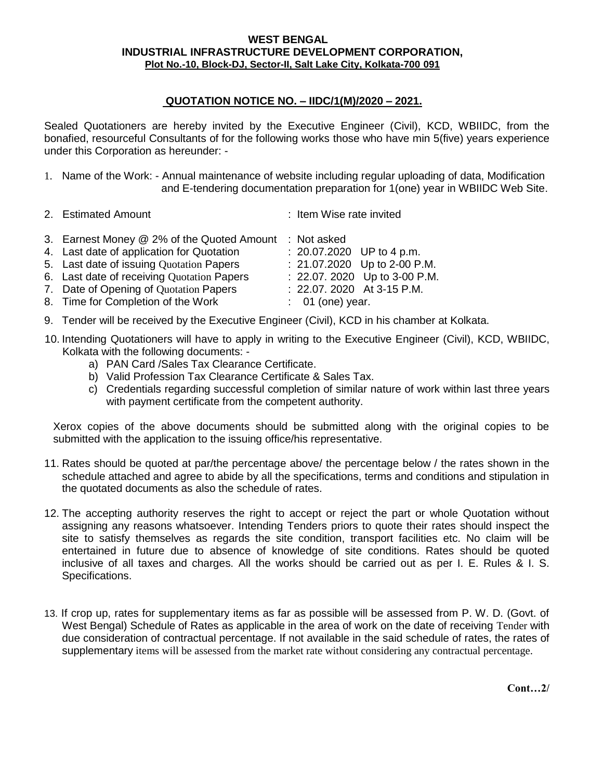## **WEST BENGAL INDUSTRIAL INFRASTRUCTURE DEVELOPMENT CORPORATION, Plot No.-10, Block-DJ, Sector-II, Salt Lake City, Kolkata-700 091**

## **QUOTATION NOTICE NO. – IIDC/1(M)/2020 – 2021.**

Sealed Quotationers are hereby invited by the Executive Engineer (Civil), KCD, WBIIDC, from the bonafied, resourceful Consultants of for the following works those who have min 5(five) years experience under this Corporation as hereunder: -

- 1. Name of the Work: Annual maintenance of website including regular uploading of data, Modification and E-tendering documentation preparation for 1(one) year in WBIIDC Web Site.
- 2. Estimated Amount : Item Wise rate invited
- 3. Earnest Money @ 2% of the Quoted Amount : Not asked
- 4. Last date of application for Quotation : 20.07.2020 UP to 4 p.m.
- 5. Last date of issuing Quotation Papers : 21.07.2020 Up to 2-00 P.M.
- 6. Last date of receiving Quotation Papers : 22.07. 2020 Up to 3-00 P.M.
- 7. Date of Opening of Ouotation Papers : 22.07. 2020 At 3-15 P.M.
- 8. Time for Completion of the Work : 01 (one) year. 9. Tender will be received by the Executive Engineer (Civil), KCD in his chamber at Kolkata.
- 10. Intending Quotationers will have to apply in writing to the Executive Engineer (Civil), KCD, WBIIDC, Kolkata with the following documents:
	- a) PAN Card /Sales Tax Clearance Certificate.
	- b) Valid Profession Tax Clearance Certificate & Sales Tax.
	- c) Credentials regarding successful completion of similar nature of work within last three years with payment certificate from the competent authority.

Xerox copies of the above documents should be submitted along with the original copies to be submitted with the application to the issuing office/his representative.

- 11. Rates should be quoted at par/the percentage above/ the percentage below / the rates shown in the schedule attached and agree to abide by all the specifications, terms and conditions and stipulation in the quotated documents as also the schedule of rates.
- 12. The accepting authority reserves the right to accept or reject the part or whole Quotation without assigning any reasons whatsoever. Intending Tenders priors to quote their rates should inspect the site to satisfy themselves as regards the site condition, transport facilities etc. No claim will be entertained in future due to absence of knowledge of site conditions. Rates should be quoted inclusive of all taxes and charges. All the works should be carried out as per I. E. Rules & I. S. Specifications.
- 13. If crop up, rates for supplementary items as far as possible will be assessed from P. W. D. (Govt. of West Bengal) Schedule of Rates as applicable in the area of work on the date of receiving Tender with due consideration of contractual percentage. If not available in the said schedule of rates, the rates of supplementary items will be assessed from the market rate without considering any contractual percentage.